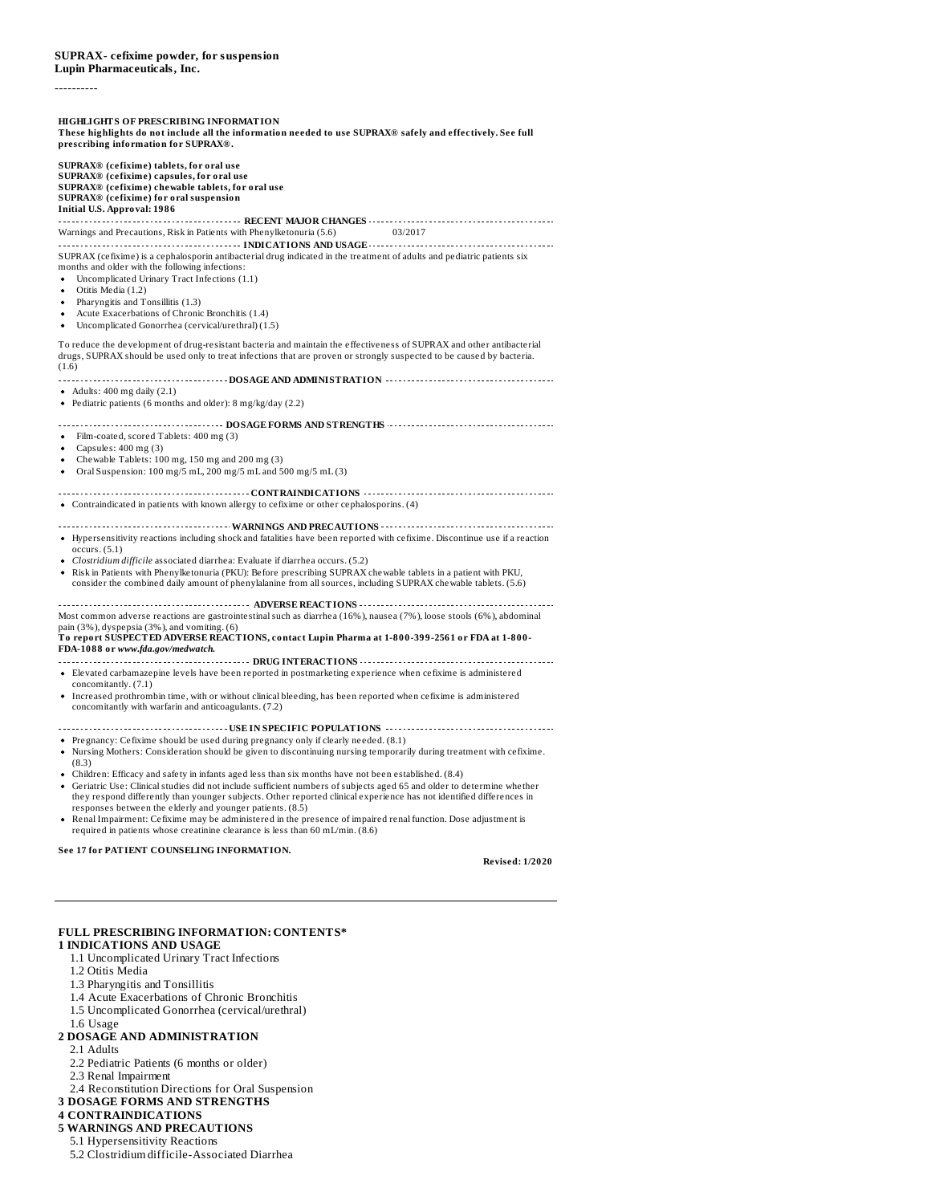---------- **HIGHLIGHTS OF PRESCRIBING INFORMATION** These highlights do not include all the information needed to use SUPRAX® safely and effectively. See full **prescribing information for SUPRAX®. SUPRAX® (cefixime) tablets, for oral use SUPRAX® (cefixime) capsules, for oral use SUPRAX® (cefixime) chewable tablets, for oral use SUPRAX® (cefixime) for oral suspension Initial U.S. Approval: 1986 RECENT MAJOR CHANGES** Warnings and Precautions, Risk in Patients with Phenylketonuria (5.6) 03/2017 **INDICATIONS AND USAGE** SUPRAX (cefixime) is a cephalosporin antibacterial drug indicated in the treatment of adults and pediatric patients six months and older with the following infections: Uncomplicated Urinary Tract Infections (1.1)  $\bullet$ Otitis Media (1.2) Pharyngitis and Tonsillitis (1.3) Acute Exacerbations of Chronic Bronchitis (1.4) Uncomplicated Gonorrhea (cervical/urethral) (1.5) To reduce the development of drug-resistant bacteria and maintain the effectiveness of SUPRAX and other antibacterial drugs, SUPRAX should be used only to treat infections that are proven or strongly suspected to be caused by bacteria. (1.6) **DOSAGE AND ADMINISTRATION**  $\bullet$  Adults: 400 mg daily (2.1) Pediatric patients (6 months and older): 8 mg/kg/day (2.2) **DOSAGE FORMS AND STRENGTHS** Film-coated, scored Tablets: 400 mg (3) Capsules: 400 mg (3) Chewable Tablets: 100 mg, 150 mg and 200 mg (3) Oral Suspension: 100 mg/5 mL, 200 mg/5 mL and 500 mg/5 mL (3) **CONTRAINDICATIONS** Contraindicated in patients with known allergy to cefixime or other cephalosporins. (4) **WARNINGS AND PRECAUTIONS** Hypersensitivity reactions including shock and fatalities have been reported with cefixime. Discontinue use if a reaction  $occurs. (5.1)$ *Clostridium difficile* associated diarrhea: Evaluate if diarrhea occurs. (5.2) Risk in Patients with Phenylketonuria (PKU): Before prescribing SUPRAX chewable tablets in a patient with PKU, consider the combined daily amount of phenylalanine from allsources, including SUPRAX chewable tablets. (5.6) **ADVERSE REACTIONS** Most common adverse reactions are gastrointestinalsuch as diarrhea (16%), nausea (7%), loose stools (6%), abdominal pain (3%), dyspepsia (3%), and vomiting. (6) **To report SUSPECTED ADVERSE REACTIONS, contact Lupin Pharma at 1-800-399-2561 or FDA at 1-800- FDA-1088 or** *www.fda.gov/medwatch.* **DRUG INTERACTIONS DECOUPLEMENTAL CONSTRUCTIONS** Elevated carbamazepine levels have been reported in postmarketing experience when cefixime is administered concomitantly. (7.1) Increased prothrombin time, with or without clinical bleeding, has been reported when cefixime is administered concomitantly with warfarin and anticoagulants. (7.2) **USE IN SPECIFIC POPULATIONS**  $\bullet~$  Pregnancy: Cefixime should be used during pregnancy only if clearly needed. (8.1) Nursing Mothers: Consideration should be given to discontinuing nursing temporarily during treatment with cefixime. (8.3) Children: Efficacy and safety in infants aged less than six months have not been established. (8.4) Geriatric Use: Clinicalstudies did not include sufficient numbers of subjects aged 65 and older to determine whether they respond differently than younger subjects. Other reported clinical experience has not identified differences in responses between the elderly and younger patients. (8.5) Renal Impairment: Cefixime may be administered in the presence of impaired renal function. Dose adjustment is required in patients whose creatinine clearance is less than 60 mL/min. (8.6) **See 17 for PATIENT COUNSELING INFORMATION. Revised: 1/2020 FULL PRESCRIBING INFORMATION: CONTENTS\* 1 INDICATIONS AND USAGE** 1.1 Uncomplicated Urinary Tract Infections 1.2 Otitis Media 1.3 Pharyngitis and Tonsillitis

- 1.4 Acute Exacerbations of Chronic Bronchitis
- 1.5 Uncomplicated Gonorrhea (cervical/urethral)
- 1.6 Usage

### **2 DOSAGE AND ADMINISTRATION**

# 2.1 Adults

- 2.2 Pediatric Patients (6 months or older)
- 2.3 Renal Impairment
- 2.4 Reconstitution Directions for Oral Suspension
- **3 DOSAGE FORMS AND STRENGTHS**
- **4 CONTRAINDICATIONS**
- 
- **5 WARNINGS AND PRECAUTIONS** 5.1 Hypersensitivity Reactions
	- 5.2 Clostridium difficile-Associated Diarrhea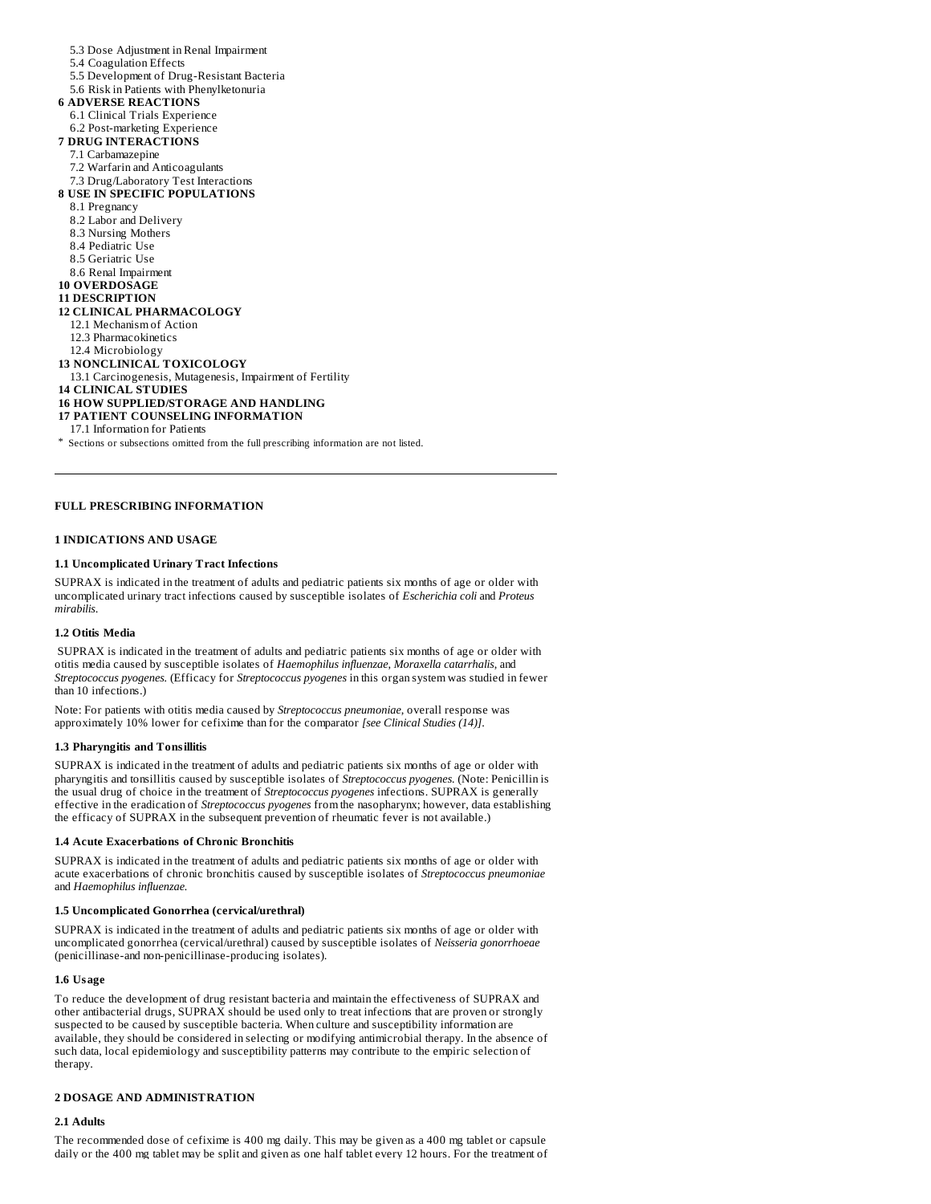5.3 Dose Adjustment in Renal Impairment 5.4 Coagulation Effects 5.5 Development of Drug-Resistant Bacteria 5.6 Risk in Patients with Phenylketonuria **6 ADVERSE REACTIONS** 6.1 Clinical Trials Experience 6.2 Post-marketing Experience **7 DRUG INTERACTIONS** 7.1 Carbamazepine 7.2 Warfarin and Anticoagulants 7.3 Drug/Laboratory Test Interactions **8 USE IN SPECIFIC POPULATIONS** 8.1 Pregnancy 8.2 Labor and Delivery 8.3 Nursing Mothers 8.4 Pediatric Use 8.5 Geriatric Use 8.6 Renal Impairment **10 OVERDOSAGE 11 DESCRIPTION 12 CLINICAL PHARMACOLOGY** 12.1 Mechanism of Action 12.3 Pharmacokinetics 12.4 Microbiology **13 NONCLINICAL TOXICOLOGY** 13.1 Carcinogenesis, Mutagenesis, Impairment of Fertility **14 CLINICAL STUDIES 16 HOW SUPPLIED/STORAGE AND HANDLING 17 PATIENT COUNSELING INFORMATION** 17.1 Information for Patients

\* Sections or subsections omitted from the full prescribing information are not listed.

## **FULL PRESCRIBING INFORMATION**

#### **1 INDICATIONS AND USAGE**

#### **1.1 Uncomplicated Urinary Tract Infections**

SUPRAX is indicated in the treatment of adults and pediatric patients six months of age or older with uncomplicated urinary tract infections caused by susceptible isolates of *Escherichia coli* and *Proteus mirabilis*.

#### **1.2 Otitis Media**

SUPRAX is indicated in the treatment of adults and pediatric patients six months of age or older with otitis media caused by susceptible isolates of *Haemophilus influenzae*, *Moraxella catarrhalis*, and *Streptococcus pyogenes.* (Efficacy for *Streptococcus pyogenes* in this organ system was studied in fewer than 10 infections.)

Note: For patients with otitis media caused by *Streptococcus pneumoniae*, overall response was approximately 10% lower for cefixime than for the comparator *[see Clinical Studies (14)]*.

#### **1.3 Pharyngitis and Tonsillitis**

SUPRAX is indicated in the treatment of adults and pediatric patients six months of age or older with pharyngitis and tonsillitis caused by susceptible isolates of *Streptococcus pyogenes.* (Note: Penicillin is the usual drug of choice in the treatment of *Streptococcus pyogenes* infections. SUPRAX is generally effective in the eradication of *Streptococcus pyogenes* from the nasopharynx; however, data establishing the efficacy of SUPRAX in the subsequent prevention of rheumatic fever is not available.)

#### **1.4 Acute Exacerbations of Chronic Bronchitis**

SUPRAX is indicated in the treatment of adults and pediatric patients six months of age or older with acute exacerbations of chronic bronchitis caused by susceptible isolates of *Streptococcus pneumoniae* and *Haemophilus influenzae.*

### **1.5 Uncomplicated Gonorrhea (cervical/urethral)**

SUPRAX is indicated in the treatment of adults and pediatric patients six months of age or older with uncomplicated gonorrhea (cervical/urethral) caused by susceptible isolates of *Neisseria gonorrhoeae* (penicillinase-and non-penicillinase-producing isolates).

### **1.6 Usage**

To reduce the development of drug resistant bacteria and maintain the effectiveness of SUPRAX and other antibacterial drugs, SUPRAX should be used only to treat infections that are proven or strongly suspected to be caused by susceptible bacteria. When culture and susceptibility information are available, they should be considered in selecting or modifying antimicrobial therapy. In the absence of such data, local epidemiology and susceptibility patterns may contribute to the empiric selection of therapy.

## **2 DOSAGE AND ADMINISTRATION**

#### **2.1 Adults**

The recommended dose of cefixime is 400 mg daily. This may be given as a 400 mg tablet or capsule daily or the 400 mg tablet may be split and given as one half tablet every 12 hours. For the treatment of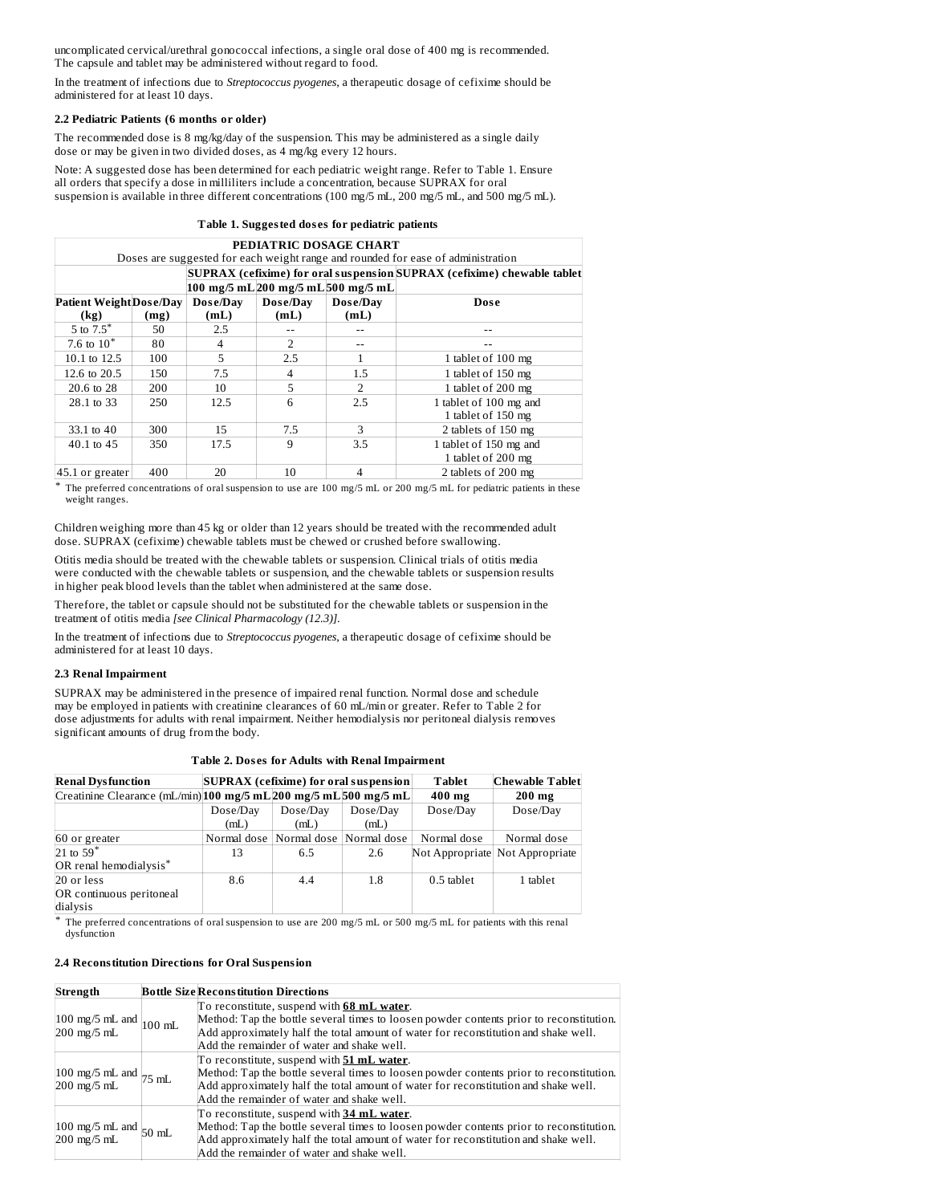uncomplicated cervical/urethral gonococcal infections, a single oral dose of 400 mg is recommended. The capsule and tablet may be administered without regard to food.

In the treatment of infections due to *Streptococcus pyogenes*, a therapeutic dosage of cefixime should be administered for at least 10 days.

## **2.2 Pediatric Patients (6 months or older)**

The recommended dose is 8 mg/kg/day of the suspension. This may be administered as a single daily dose or may be given in two divided doses, as 4 mg/kg every 12 hours.

Note: A suggested dose has been determined for each pediatric weight range. Refer to Table 1. Ensure all orders that specify a dose in milliliters include a concentration, because SUPRAX for oral suspension is available in three different concentrations (100 mg/5 mL, 200 mg/5 mL, and 500 mg/5 mL).

| Table 1. Suggested doses for pediatric patients |  |  |
|-------------------------------------------------|--|--|
|                                                 |  |  |

| PEDIATRIC DOSAGE CHART<br>Doses are suggested for each weight range and rounded for ease of administration |      |          |          |                                     |                        |  |  |  |
|------------------------------------------------------------------------------------------------------------|------|----------|----------|-------------------------------------|------------------------|--|--|--|
| SUPRAX (cefixime) for oral suspension SUPRAX (cefixime) chewable tablet                                    |      |          |          |                                     |                        |  |  |  |
|                                                                                                            |      |          |          | 100 mg/5 mL 200 mg/5 mL 500 mg/5 mL |                        |  |  |  |
| <b>Patient WeightDose/Day</b>                                                                              |      | Dose/Day | Dose/Day | Dose/Day                            | Dose                   |  |  |  |
| (kg)                                                                                                       | (mg) | (mL)     | (mL)     | (mL)                                |                        |  |  |  |
| 5 to $7.5^*$                                                                                               | 50   | 2.5      |          |                                     |                        |  |  |  |
| 7.6 to $10^*$                                                                                              | 80   | 4        | 2        |                                     |                        |  |  |  |
| 10.1 to 12.5                                                                                               | 100  | 5        | 2.5      |                                     | 1 tablet of 100 mg     |  |  |  |
| 12.6 to 20.5                                                                                               | 150  | 7.5      | 4        | 1.5                                 | 1 tablet of 150 mg     |  |  |  |
| 20.6 to 28                                                                                                 | 200  | 10       | 5        | 2                                   | 1 tablet of 200 mg     |  |  |  |
| 28.1 to 33                                                                                                 | 250  | 12.5     | 6        | 2.5                                 | 1 tablet of 100 mg and |  |  |  |
|                                                                                                            |      |          |          |                                     | 1 tablet of 150 mg     |  |  |  |
| 33.1 to 40                                                                                                 | 300  | 15       | 7.5      | 3                                   | 2 tablets of 150 mg    |  |  |  |
| $40.1$ to $45$                                                                                             | 350  | 17.5     | 9        | 3.5                                 | 1 tablet of 150 mg and |  |  |  |
|                                                                                                            |      |          |          |                                     | 1 tablet of 200 mg     |  |  |  |
| 45.1 or greater                                                                                            | 400  | 20       | 10       | 4                                   | 2 tablets of 200 mg    |  |  |  |

\* The preferred concentrations of oral suspension to use are 100 mg/5 mL or 200 mg/5 mL for pediatric patients in these weight ranges.

Children weighing more than 45 kg or older than 12 years should be treated with the recommended adult dose. SUPRAX (cefixime) chewable tablets must be chewed or crushed before swallowing.

Otitis media should be treated with the chewable tablets or suspension. Clinical trials of otitis media were conducted with the chewable tablets or suspension, and the chewable tablets or suspension results in higher peak blood levels than the tablet when administered at the same dose.

Therefore, the tablet or capsule should not be substituted for the chewable tablets or suspension in the treatment of otitis media *[see Clinical Pharmacology (12.3)]*.

In the treatment of infections due to *Streptococcus pyogenes*, a therapeutic dosage of cefixime should be administered for at least 10 days.

# **2.3 Renal Impairment**

SUPRAX may be administered in the presence of impaired renal function. Normal dose and schedule may be employed in patients with creatinine clearances of 60 mL/min or greater. Refer to Table 2 for dose adjustments for adults with renal impairment. Neither hemodialysis nor peritoneal dialysis removes significant amounts of drug from the body.

|  | Table 2. Doses for Adults with Renal Impairment |
|--|-------------------------------------------------|
|--|-------------------------------------------------|

| <b>Renal Dysfunction</b>                                          | SUPRAX (cefixime) for oral suspension |                                         |          | Tablet       | <b>Chewable Tablet</b>          |
|-------------------------------------------------------------------|---------------------------------------|-----------------------------------------|----------|--------------|---------------------------------|
| Creatinine Clearance (mL/min) 100 mg/5 mL 200 mg/5 mL 500 mg/5 mL |                                       |                                         |          | $400$ mg     | $200$ mg                        |
|                                                                   | Dose/Day                              | Dose/Day                                | Dose/Day | Dose/Day     | Dose/Day                        |
|                                                                   | (mL)                                  | (mL)                                    | (mL)     |              |                                 |
| 60 or greater                                                     |                                       | Normal dose   Normal dose   Normal dose |          | Normal dose  | Normal dose                     |
| 21 to $59*$                                                       | 13                                    | 6.5                                     | 2.6      |              | Not Appropriate Not Appropriate |
| OR renal hemodialysis <sup>*</sup>                                |                                       |                                         |          |              |                                 |
| 20 or less                                                        | 8.6                                   | 4.4                                     | 1.8      | $0.5$ tablet | 1 tablet                        |
| OR continuous peritoneal                                          |                                       |                                         |          |              |                                 |
| dialysis                                                          |                                       |                                         |          |              |                                 |

\* The preferred concentrations of oral suspension to use are 200 mg/5 mL or 500 mg/5 mL for patients with this renal dysfunction

## **2.4 Reconstitution Directions for Oral Suspension**

| Strength                                                                                           | <b>Bottle Size Reconstitution Directions</b>                                                                                                                                                                                                                               |
|----------------------------------------------------------------------------------------------------|----------------------------------------------------------------------------------------------------------------------------------------------------------------------------------------------------------------------------------------------------------------------------|
| 100 mg/5 mL and $ 100$ mL<br>200 mg/5 mL                                                           | To reconstitute, suspend with 68 mL water.<br>Method: Tap the bottle several times to loosen powder contents prior to reconstitution.<br>Add approximately half the total amount of water for reconstitution and shake well.<br>Add the remainder of water and shake well. |
| $\begin{array}{ l l }\n 100 \text{ mg/5 mL} \text{ mL} \\  200 \text{ mg/5 mL}\n\end{array}$ 75 mL | To reconstitute, suspend with 51 mL water.<br>Method: Tap the bottle several times to loosen powder contents prior to reconstitution.<br>Add approximately half the total amount of water for reconstitution and shake well.<br>Add the remainder of water and shake well. |
| 100 mg/5 mL and $_{50}$ mL<br>200 mg/5 mL                                                          | To reconstitute, suspend with 34 mL water.<br>Method: Tap the bottle several times to loosen powder contents prior to reconstitution.<br>Add approximately half the total amount of water for reconstitution and shake well.<br>Add the remainder of water and shake well. |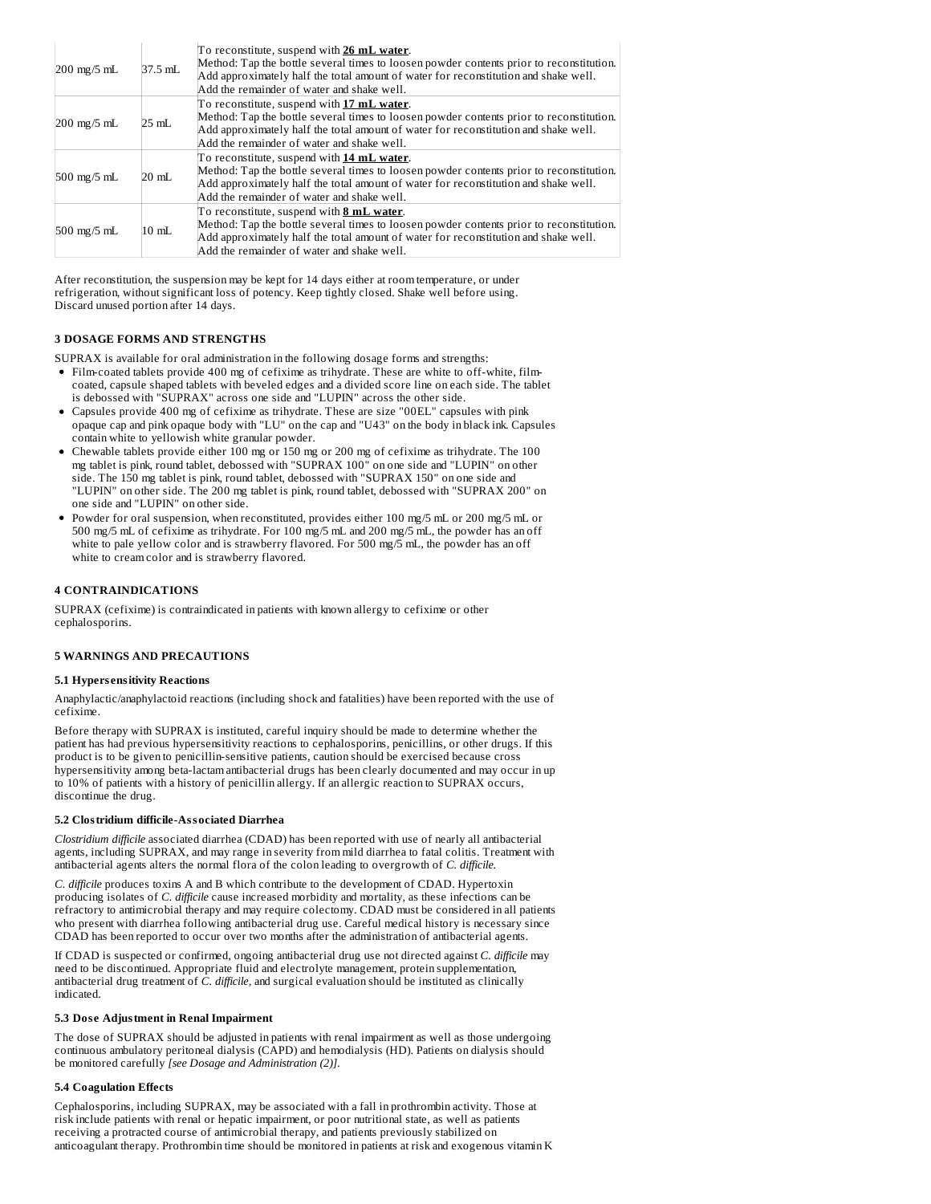| $200$ mg/5 mL                 | 37.5 mL         | To reconstitute, suspend with 26 mL water.<br>Method: Tap the bottle several times to loosen powder contents prior to reconstitution.<br>Add approximately half the total amount of water for reconstitution and shake well.<br>Add the remainder of water and shake well.        |
|-------------------------------|-----------------|-----------------------------------------------------------------------------------------------------------------------------------------------------------------------------------------------------------------------------------------------------------------------------------|
| $200 \text{ mg}/5 \text{ mL}$ | $25 \text{ mL}$ | To reconstitute, suspend with 17 mL water.<br>Method: Tap the bottle several times to loosen powder contents prior to reconstitution.<br>Add approximately half the total amount of water for reconstitution and shake well.<br>Add the remainder of water and shake well.        |
| $500$ mg/5 mL                 | $20$ mL         | To reconstitute, suspend with 14 mL water.<br>Method: Tap the bottle several times to loosen powder contents prior to reconstitution.<br>Add approximately half the total amount of water for reconstitution and shake well.<br>Add the remainder of water and shake well.        |
| $500$ mg/5 mL                 | $10 \text{ mL}$ | To reconstitute, suspend with <b>8 mL water</b> .<br>Method: Tap the bottle several times to loosen powder contents prior to reconstitution.<br>Add approximately half the total amount of water for reconstitution and shake well.<br>Add the remainder of water and shake well. |

After reconstitution, the suspension may be kept for 14 days either at room temperature, or under refrigeration, without significant loss of potency. Keep tightly closed. Shake well before using. Discard unused portion after 14 days.

## **3 DOSAGE FORMS AND STRENGTHS**

SUPRAX is available for oral administration in the following dosage forms and strengths:

- Film-coated tablets provide 400 mg of cefixime as trihydrate. These are white to off-white, filmcoated, capsule shaped tablets with beveled edges and a divided score line on each side. The tablet is debossed with "SUPRAX" across one side and "LUPIN" across the other side.
- Capsules provide 400 mg of cefixime as trihydrate. These are size "00EL" capsules with pink opaque cap and pink opaque body with "LU" on the cap and "U43" on the body in black ink. Capsules contain white to yellowish white granular powder.
- Chewable tablets provide either 100 mg or 150 mg or 200 mg of cefixime as trihydrate. The 100 mg tablet is pink, round tablet, debossed with "SUPRAX 100" on one side and "LUPIN" on other side. The 150 mg tablet is pink, round tablet, debossed with "SUPRAX 150" on one side and "LUPIN" on other side. The 200 mg tablet is pink, round tablet, debossed with "SUPRAX 200" on one side and "LUPIN" on other side.
- Powder for oral suspension, when reconstituted, provides either 100 mg/5 mL or 200 mg/5 mL or 500 mg/5 mL of cefixime as trihydrate. For 100 mg/5 mL and 200 mg/5 mL, the powder has an off white to pale yellow color and is strawberry flavored. For 500 mg/5 mL, the powder has an off white to cream color and is strawberry flavored.

## **4 CONTRAINDICATIONS**

SUPRAX (cefixime) is contraindicated in patients with known allergy to cefixime or other cephalosporins.

## **5 WARNINGS AND PRECAUTIONS**

## **5.1 Hypers ensitivity Reactions**

Anaphylactic/anaphylactoid reactions (including shock and fatalities) have been reported with the use of cefixime.

Before therapy with SUPRAX is instituted, careful inquiry should be made to determine whether the patient has had previous hypersensitivity reactions to cephalosporins, penicillins, or other drugs. If this product is to be given to penicillin-sensitive patients, caution should be exercised because cross hypersensitivity among beta-lactam antibacterial drugs has been clearly documented and may occur in up to 10% of patients with a history of penicillin allergy. If an allergic reaction to SUPRAX occurs, discontinue the drug.

# **5.2 Clostridium difficile-Associated Diarrhea**

*Clostridium difficile* associated diarrhea (CDAD) has been reported with use of nearly all antibacterial agents, including SUPRAX, and may range in severity from mild diarrhea to fatal colitis. Treatment with antibacterial agents alters the normal flora of the colon leading to overgrowth of *C. difficile.*

*C. difficile* produces toxins A and B which contribute to the development of CDAD. Hypertoxin producing isolates of *C. difficile* cause increased morbidity and mortality, as these infections can be refractory to antimicrobial therapy and may require colectomy. CDAD must be considered in all patients who present with diarrhea following antibacterial drug use. Careful medical history is necessary since CDAD has been reported to occur over two months after the administration of antibacterial agents.

If CDAD is suspected or confirmed, ongoing antibacterial drug use not directed against *C. difficile* may need to be discontinued. Appropriate fluid and electrolyte management, protein supplementation, antibacterial drug treatment of *C. difficile,* and surgical evaluation should be instituted as clinically indicated.

## **5.3 Dos e Adjustment in Renal Impairment**

The dose of SUPRAX should be adjusted in patients with renal impairment as well as those undergoing continuous ambulatory peritoneal dialysis (CAPD) and hemodialysis (HD). Patients on dialysis should be monitored carefully *[see Dosage and Administration (2)]*.

## **5.4 Coagulation Effects**

Cephalosporins, including SUPRAX, may be associated with a fall in prothrombin activity. Those at risk include patients with renal or hepatic impairment, or poor nutritional state, as well as patients receiving a protracted course of antimicrobial therapy, and patients previously stabilized on anticoagulant therapy. Prothrombin time should be monitored in patients at risk and exogenous vitamin K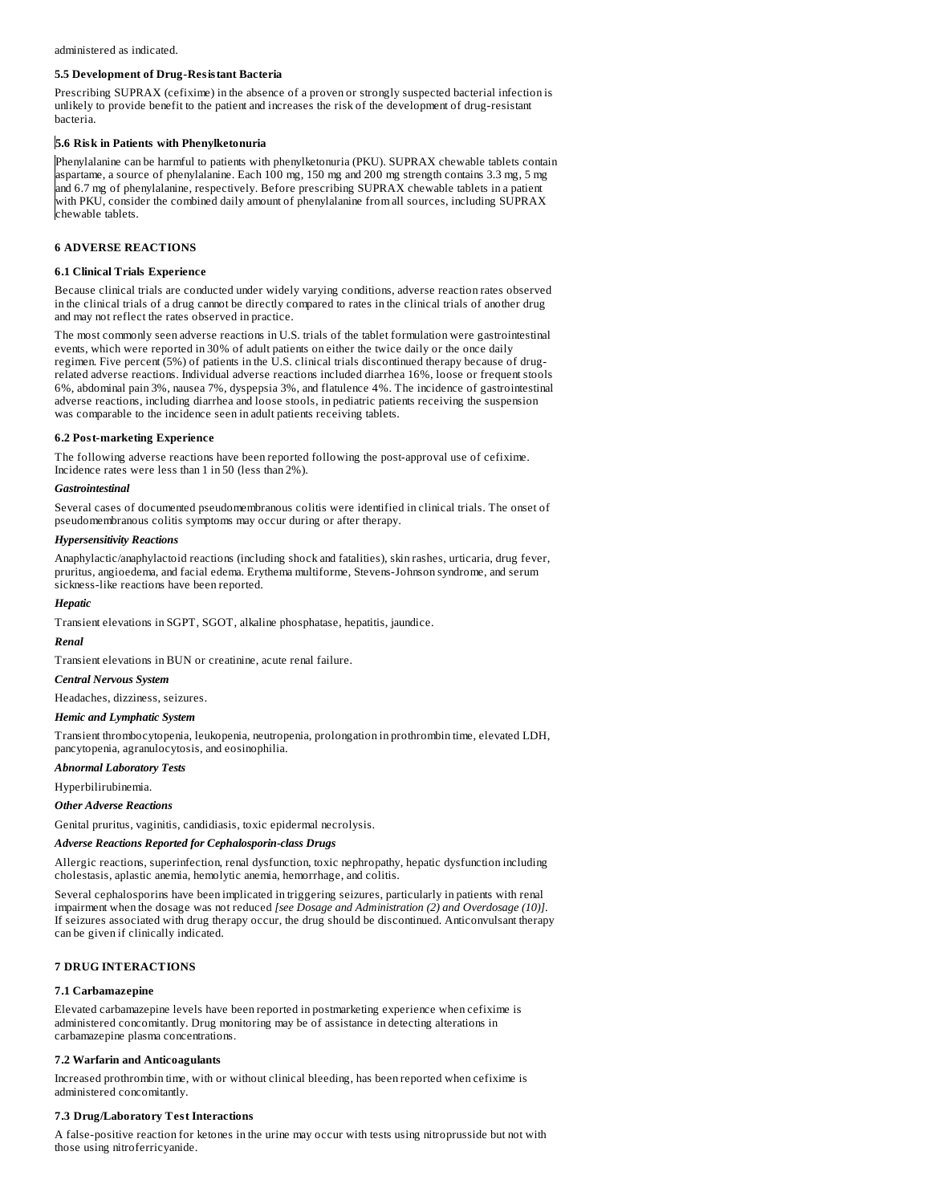administered as indicated.

### **5.5 Development of Drug-Resistant Bacteria**

Prescribing SUPRAX (cefixime) in the absence of a proven or strongly suspected bacterial infection is unlikely to provide benefit to the patient and increases the risk of the development of drug-resistant bacteria.

#### **5.6 Risk in Patients with Phenylketonuria**

Phenylalanine can be harmful to patients with phenylketonuria (PKU). SUPRAX chewable tablets contain aspartame, a source of phenylalanine. Each 100 mg, 150 mg and 200 mg strength contains 3.3 mg, 5 mg and 6.7 mg of phenylalanine, respectively. Before prescribing SUPRAX chewable tablets in a patient with PKU, consider the combined daily amount of phenylalanine from all sources, including SUPRAX chewable tablets.

## **6 ADVERSE REACTIONS**

#### **6.1 Clinical Trials Experience**

Because clinical trials are conducted under widely varying conditions, adverse reaction rates observed in the clinical trials of a drug cannot be directly compared to rates in the clinical trials of another drug and may not reflect the rates observed in practice.

The most commonly seen adverse reactions in U.S. trials of the tablet formulation were gastrointestinal events, which were reported in 30% of adult patients on either the twice daily or the once daily regimen. Five percent (5%) of patients in the U.S. clinical trials discontinued therapy because of drugrelated adverse reactions. Individual adverse reactions included diarrhea 16%, loose or frequent stools 6%, abdominal pain 3%, nausea 7%, dyspepsia 3%, and flatulence 4%. The incidence of gastrointestinal adverse reactions, including diarrhea and loose stools, in pediatric patients receiving the suspension was comparable to the incidence seen in adult patients receiving tablets.

## **6.2 Post-marketing Experience**

The following adverse reactions have been reported following the post-approval use of cefixime. Incidence rates were less than 1 in 50 (less than 2%).

#### *Gastrointestinal*

Several cases of documented pseudomembranous colitis were identified in clinical trials. The onset of pseudomembranous colitis symptoms may occur during or after therapy.

#### *Hypersensitivity Reactions*

Anaphylactic/anaphylactoid reactions (including shock and fatalities), skin rashes, urticaria, drug fever, pruritus, angioedema, and facial edema. Erythema multiforme, Stevens-Johnson syndrome, and serum sickness-like reactions have been reported.

### *Hepatic*

Transient elevations in SGPT, SGOT, alkaline phosphatase, hepatitis, jaundice.

## *Renal*

Transient elevations in BUN or creatinine, acute renal failure.

#### *Central Nervous System*

Headaches, dizziness, seizures.

# *Hemic and Lymphatic System*

Transient thrombocytopenia, leukopenia, neutropenia, prolongation in prothrombin time, elevated LDH, pancytopenia, agranulocytosis, and eosinophilia.

### *Abnormal Laboratory Tests*

Hyperbilirubinemia.

## *Other Adverse Reactions*

Genital pruritus, vaginitis, candidiasis, toxic epidermal necrolysis.

## *Adverse Reactions Reported for Cephalosporin-class Drugs*

Allergic reactions, superinfection, renal dysfunction, toxic nephropathy, hepatic dysfunction including cholestasis, aplastic anemia, hemolytic anemia, hemorrhage, and colitis.

Several cephalosporins have been implicated in triggering seizures, particularly in patients with renal impairment when the dosage was not reduced *[see Dosage and Administration (2) and Overdosage (10)]*. If seizures associated with drug therapy occur, the drug should be discontinued. Anticonvulsant therapy can be given if clinically indicated.

## **7 DRUG INTERACTIONS**

#### **7.1 Carbamazepine**

Elevated carbamazepine levels have been reported in postmarketing experience when cefixime is administered concomitantly. Drug monitoring may be of assistance in detecting alterations in carbamazepine plasma concentrations.

#### **7.2 Warfarin and Anticoagulants**

Increased prothrombin time, with or without clinical bleeding, has been reported when cefixime is administered concomitantly.

## **7.3 Drug/Laboratory Test Interactions**

A false-positive reaction for ketones in the urine may occur with tests using nitroprusside but not with those using nitroferricyanide.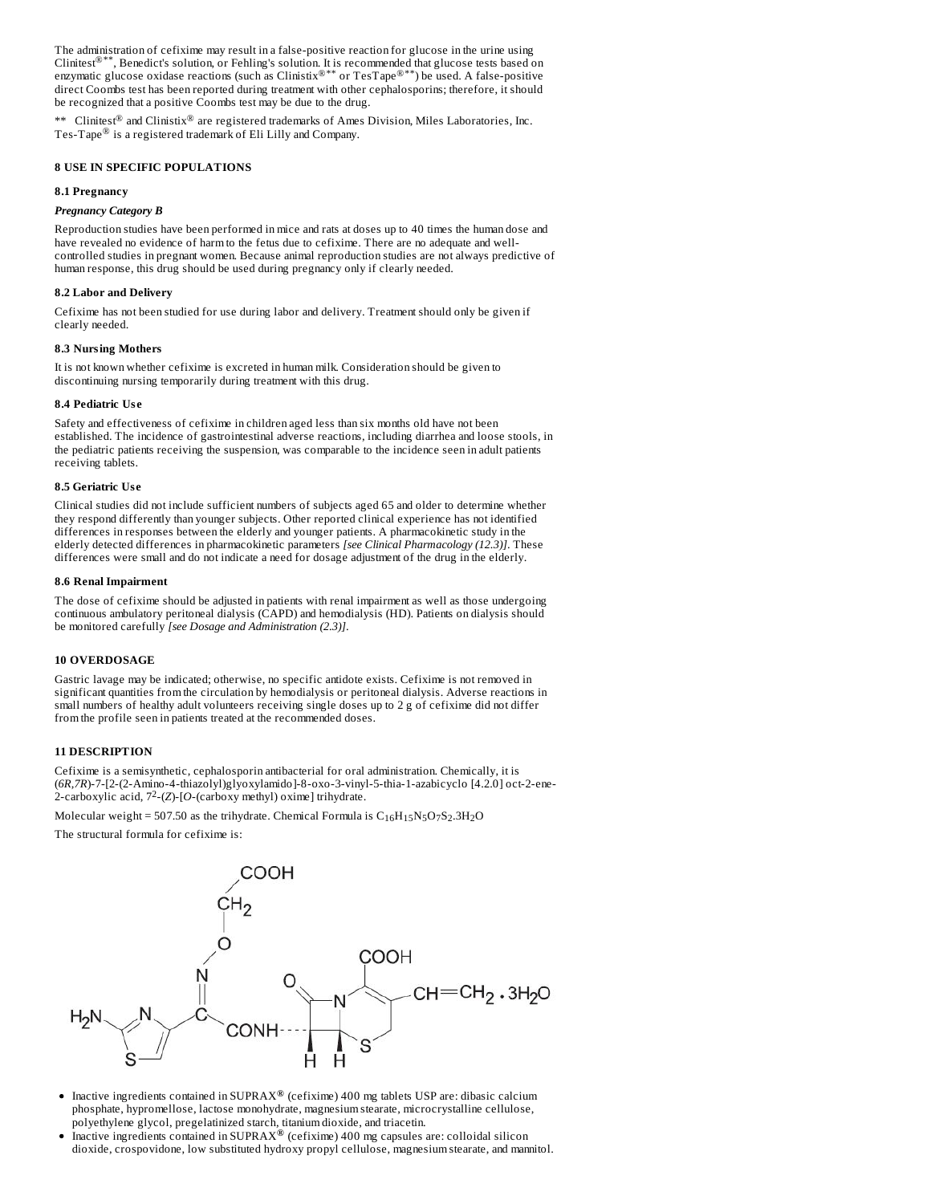The administration of cefixime may result in a false-positive reaction for glucose in the urine using  $^*$ , Benedict's solution, or Fehling's solution. It is recommended that glucose tests based on enzymatic glucose oxidase reactions (such as Clinistix $^{\circledast *}$  or TesTape $^{\circledast *}$ ) be used. A false-positive direct Coombs test has been reported during treatment with other cephalosporins; therefore, it should be recognized that a positive Coombs test may be due to the drug.  $Clinitest^{\circledR^{**}}$ 

\*\* Clinitest® and Clinistix<sup>®</sup> are registered trademarks of Ames Division, Miles Laboratories, Inc. Tes-Tape $^{\circledR}$  is a registered trademark of Eli Lilly and Company.

## **8 USE IN SPECIFIC POPULATIONS**

### **8.1 Pregnancy**

#### *Pregnancy Category B*

Reproduction studies have been performed in mice and rats at doses up to 40 times the human dose and have revealed no evidence of harm to the fetus due to cefixime. There are no adequate and wellcontrolled studies in pregnant women. Because animal reproduction studies are not always predictive of human response, this drug should be used during pregnancy only if clearly needed.

### **8.2 Labor and Delivery**

Cefixime has not been studied for use during labor and delivery. Treatment should only be given if clearly needed.

#### **8.3 Nursing Mothers**

It is not known whether cefixime is excreted in human milk. Consideration should be given to discontinuing nursing temporarily during treatment with this drug.

### **8.4 Pediatric Us e**

Safety and effectiveness of cefixime in children aged less than six months old have not been established. The incidence of gastrointestinal adverse reactions, including diarrhea and loose stools, in the pediatric patients receiving the suspension, was comparable to the incidence seen in adult patients receiving tablets.

#### **8.5 Geriatric Us e**

Clinical studies did not include sufficient numbers of subjects aged 65 and older to determine whether they respond differently than younger subjects. Other reported clinical experience has not identified differences in responses between the elderly and younger patients. A pharmacokinetic study in the elderly detected differences in pharmacokinetic parameters *[see Clinical Pharmacology (12.3)]*. These differences were small and do not indicate a need for dosage adjustment of the drug in the elderly.

#### **8.6 Renal Impairment**

The dose of cefixime should be adjusted in patients with renal impairment as well as those undergoing continuous ambulatory peritoneal dialysis (CAPD) and hemodialysis (HD). Patients on dialysis should be monitored carefully *[see Dosage and Administration (2.3)]*.

## **10 OVERDOSAGE**

Gastric lavage may be indicated; otherwise, no specific antidote exists. Cefixime is not removed in significant quantities from the circulation by hemodialysis or peritoneal dialysis. Adverse reactions in small numbers of healthy adult volunteers receiving single doses up to 2 g of cefixime did not differ from the profile seen in patients treated at the recommended doses.

## **11 DESCRIPTION**

Cefixime is a semisynthetic, cephalosporin antibacterial for oral administration. Chemically, it is (*6R,7R*)-7-[2-(2-Amino-4-thiazolyl)glyoxylamido]-8-oxo-3-vinyl-5-thia-1-azabicyclo [4.2.0] oct-2-ene-2-carboxylic acid,  $7^2$ - $(Z)$ - $[O$ - $(carboxy methyl)$  oxime] trihydrate.

Molecular weight = 507.50 as the trihydrate. Chemical Formula is  $\rm{C_{16}H_{15}N_5O_7S_2.3H_2O}$ 

The structural formula for cefixime is:



- Inactive ingredients contained in SUPRAX<sup>®</sup> (cefixime) 400 mg tablets USP are: dibasic calcium phosphate, hypromellose, lactose monohydrate, magnesium stearate, microcrystalline cellulose, polyethylene glycol, pregelatinized starch, titanium dioxide, and triacetin.
- Inactive ingredients contained in SUPRAX<sup>®</sup> (cefixime) 400 mg capsules are: colloidal silicon dioxide, crospovidone, low substituted hydroxy propyl cellulose, magnesium stearate, and mannitol.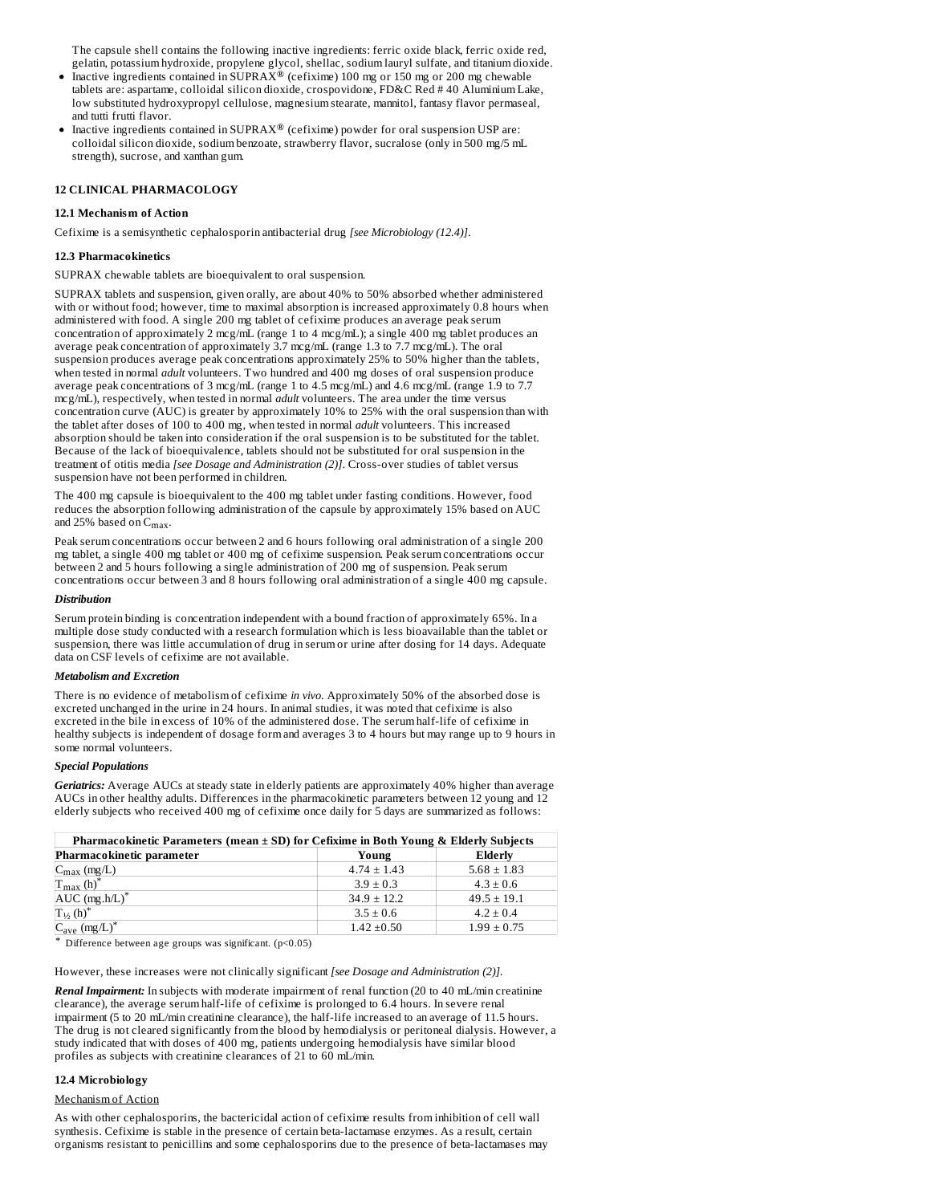The capsule shell contains the following inactive ingredients: ferric oxide black, ferric oxide red, gelatin, potassium hydroxide, propylene glycol, shellac, sodium lauryl sulfate, and titanium dioxide.

- Inactive ingredients contained in SUPRAX<sup>®</sup> (cefixime) 100 mg or 150 mg or 200 mg chewable tablets are: aspartame, colloidal silicon dioxide, crospovidone, FD&C Red # 40 Aluminium Lake, low substituted hydroxypropyl cellulose, magnesium stearate, mannitol, fantasy flavor permaseal, and tutti frutti flavor.
- Inactive ingredients contained in  $\text{SUPRAX}^{\circledR}$  (cefixime) powder for oral suspension USP are: colloidal silicon dioxide, sodium benzoate, strawberry flavor, sucralose (only in 500 mg/5 mL strength), sucrose, and xanthan gum.

### **12 CLINICAL PHARMACOLOGY**

#### **12.1 Mechanism of Action**

Cefixime is a semisynthetic cephalosporin antibacterial drug *[see Microbiology (12.4)]*.

#### **12.3 Pharmacokinetics**

SUPRAX chewable tablets are bioequivalent to oral suspension.

SUPRAX tablets and suspension, given orally, are about 40% to 50% absorbed whether administered with or without food; however, time to maximal absorption is increased approximately 0.8 hours when administered with food. A single 200 mg tablet of cefixime produces an average peak serum concentration of approximately 2 mcg/mL (range 1 to 4 mcg/mL); a single 400 mg tablet produces an average peak concentration of approximately 3.7 mcg/mL (range 1.3 to 7.7 mcg/mL). The oral suspension produces average peak concentrations approximately 25% to 50% higher than the tablets, when tested in normal *adult* volunteers. Two hundred and 400 mg doses of oral suspension produce average peak concentrations of 3 mcg/mL (range 1 to 4.5 mcg/mL) and 4.6 mcg/mL (range 1.9 to 7.7 mcg/mL), respectively, when tested in normal *adult* volunteers. The area under the time versus concentration curve (AUC) is greater by approximately 10% to 25% with the oral suspension than with the tablet after doses of 100 to 400 mg, when tested in normal *adult* volunteers. This increased absorption should be taken into consideration if the oral suspension is to be substituted for the tablet. Because of the lack of bioequivalence, tablets should not be substituted for oral suspension in the treatment of otitis media *[see Dosage and Administration (2)]*. Cross-over studies of tablet versus suspension have not been performed in children.

The 400 mg capsule is bioequivalent to the 400 mg tablet under fasting conditions. However, food reduces the absorption following administration of the capsule by approximately 15% based on AUC and 25% based on  $C_{\rm max}$ .

Peak serum concentrations occur between 2 and 6 hours following oral administration of a single 200 mg tablet, a single 400 mg tablet or 400 mg of cefixime suspension. Peak serum concentrations occur between 2 and 5 hours following a single administration of 200 mg of suspension. Peak serum concentrations occur between 3 and 8 hours following oral administration of a single 400 mg capsule.

#### *Distribution*

Serum protein binding is concentration independent with a bound fraction of approximately 65%. In a multiple dose study conducted with a research formulation which is less bioavailable than the tablet or suspension, there was little accumulation of drug in serum or urine after dosing for 14 days. Adequate data on CSF levels of cefixime are not available.

#### *Metabolism and Excretion*

There is no evidence of metabolism of cefixime *in vivo.* Approximately 50% of the absorbed dose is excreted unchanged in the urine in 24 hours. In animal studies, it was noted that cefixime is also excreted in the bile in excess of 10% of the administered dose. The serum half-life of cefixime in healthy subjects is independent of dosage form and averages 3 to 4 hours but may range up to 9 hours in some normal volunteers.

## *Special Populations*

*Geriatrics:* Average AUCs at steady state in elderly patients are approximately 40% higher than average AUCs in other healthy adults. Differences in the pharmacokinetic parameters between 12 young and 12 elderly subjects who received 400 mg of cefixime once daily for 5 days are summarized as follows:

| Pharmacokinetic Parameters (mean ± SD) for Cefixime in Both Young & Elderly Subjects |                 |                 |  |  |  |  |
|--------------------------------------------------------------------------------------|-----------------|-----------------|--|--|--|--|
| Pharmacokinetic parameter                                                            | Young           | Elderly         |  |  |  |  |
| $C_{\text{max}}$ (mg/L)                                                              | $4.74 \pm 1.43$ | $5.68 \pm 1.83$ |  |  |  |  |
| $T_{\text{max}}$ (h) <sup>*</sup>                                                    | $3.9 + 0.3$     | $4.3 \pm 0.6$   |  |  |  |  |
| $AUC (mg.h/L)^*$                                                                     | $34.9 + 12.2$   | $49.5 \pm 19.1$ |  |  |  |  |
| $T_{\frac{1}{2}}$ (h) <sup>*</sup>                                                   | $3.5 \pm 0.6$   | $4.2 + 0.4$     |  |  |  |  |
| $C_{\text{ave}}$ (mg/L) <sup>*</sup>                                                 | $1.42 \pm 0.50$ | $1.99 \pm 0.75$ |  |  |  |  |

\* Difference between age groups was significant. (p<0.05)

However, these increases were not clinically significant *[see Dosage and Administration (2)]*.

*Renal Impairment:* In subjects with moderate impairment of renal function (20 to 40 mL/min creatinine clearance), the average serum half-life of cefixime is prolonged to 6.4 hours. In severe renal impairment (5 to 20 mL/min creatinine clearance), the half-life increased to an average of 11.5 hours. The drug is not cleared significantly from the blood by hemodialysis or peritoneal dialysis. However, a study indicated that with doses of 400 mg, patients undergoing hemodialysis have similar blood profiles as subjects with creatinine clearances of 21 to 60 mL/min.

### **12.4 Microbiology**

#### Mechanism of Action

As with other cephalosporins, the bactericidal action of cefixime results from inhibition of cell wall synthesis. Cefixime is stable in the presence of certain beta-lactamase enzymes. As a result, certain organisms resistant to penicillins and some cephalosporins due to the presence of beta-lactamases may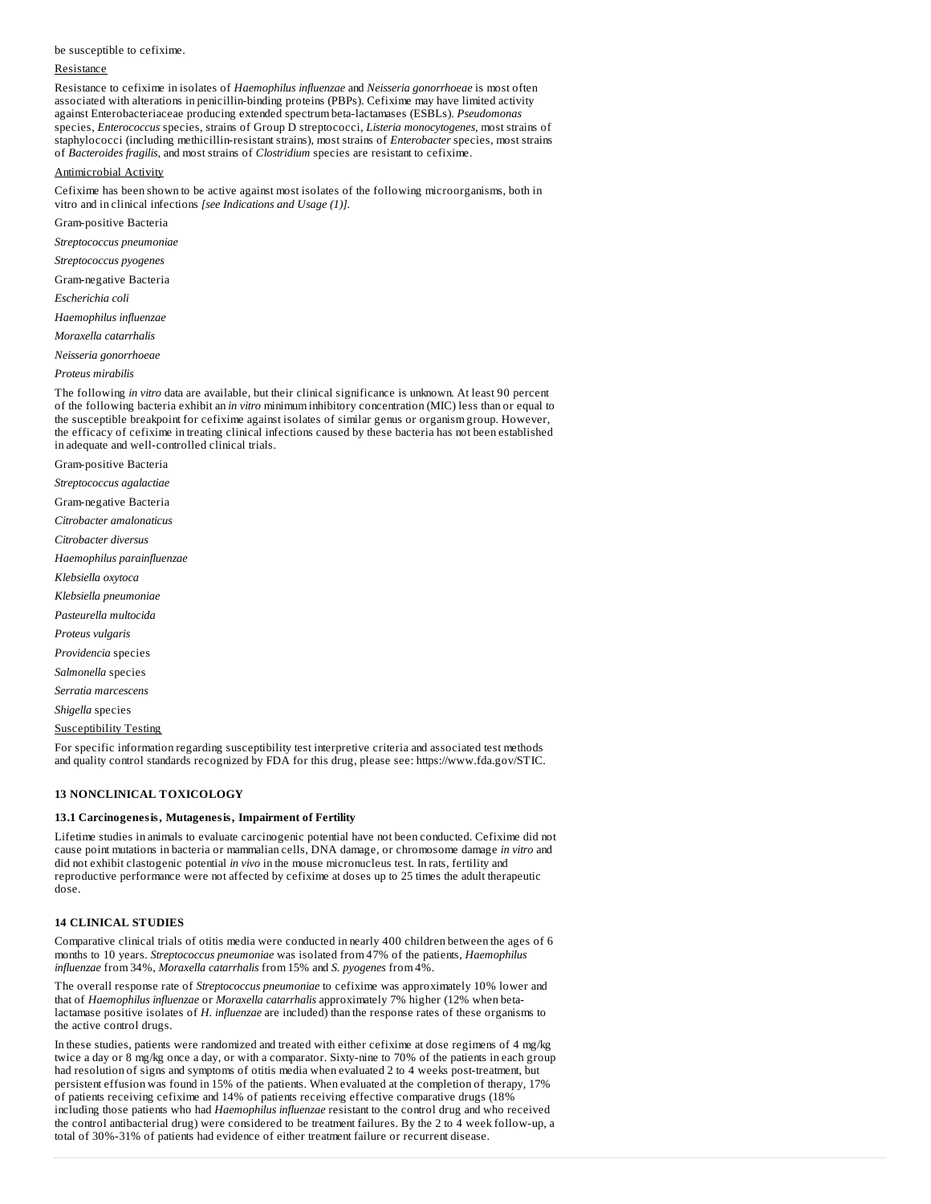be susceptible to cefixime.

#### Resistance

Resistance to cefixime in isolates of *Haemophilus influenzae* and *Neisseria gonorrhoeae* is most often associated with alterations in penicillin-binding proteins (PBPs). Cefixime may have limited activity against Enterobacteriaceae producing extended spectrum beta-lactamases (ESBLs). *Pseudomonas* species, *Enterococcus* species, strains of Group D streptococci, *Listeria monocytogenes,* most strains of staphylococci (including methicillin-resistant strains), most strains of *Enterobacter* species, most strains of *Bacteroides fragilis,* and most strains of *Clostridium* species are resistant to cefixime.

### Antimicrobial Activity

Cefixime has been shown to be active against most isolates of the following microorganisms, both in vitro and in clinical infections *[see Indications and Usage (1)].*

Gram-positive Bacteria

*Streptococcus pneumoniae*

*Streptococcus pyogenes*

Gram-negative Bacteria

*Escherichia coli*

*Haemophilus influenzae*

*Moraxella catarrhalis*

*Neisseria gonorrhoeae*

*Proteus mirabilis*

The following *in vitro* data are available, but their clinical significance is unknown. At least 90 percent of the following bacteria exhibit an *in vitro* minimum inhibitory concentration (MIC) less than or equal to the susceptible breakpoint for cefixime against isolates of similar genus or organism group. However, the efficacy of cefixime in treating clinical infections caused by these bacteria has not been established in adequate and well-controlled clinical trials.

Gram-positive Bacteria

*Streptococcus agalactiae*

Gram-negative Bacteria

*Citrobacter amalonaticus*

*Citrobacter diversus*

*Haemophilus parainfluenzae*

*Klebsiella oxytoca*

*Klebsiella pneumoniae*

*Pasteurella multocida*

*Proteus vulgaris*

*Providencia* species

*Salmonella* species

*Serratia marcescens*

*Shigella* species

Susceptibility Testing

For specific information regarding susceptibility test interpretive criteria and associated test methods and quality control standards recognized by FDA for this drug, please see: https://www.fda.gov/STIC.

### **13 NONCLINICAL TOXICOLOGY**

### **13.1 Carcinogenesis, Mutagenesis, Impairment of Fertility**

Lifetime studies in animals to evaluate carcinogenic potential have not been conducted. Cefixime did not cause point mutations in bacteria or mammalian cells, DNA damage, or chromosome damage *in vitro* and did not exhibit clastogenic potential *in vivo* in the mouse micronucleus test. In rats, fertility and reproductive performance were not affected by cefixime at doses up to 25 times the adult therapeutic dose.

### **14 CLINICAL STUDIES**

Comparative clinical trials of otitis media were conducted in nearly 400 children between the ages of 6 months to 10 years. *Streptococcus pneumoniae* was isolated from 47% of the patients, *Haemophilus influenzae* from 34%, *Moraxella catarrhalis* from 15% and *S. pyogenes* from 4%.

The overall response rate of *Streptococcus pneumoniae* to cefixime was approximately 10% lower and that of *Haemophilus influenzae* or *Moraxella catarrhalis* approximately 7% higher (12% when betalactamase positive isolates of *H. influenzae* are included) than the response rates of these organisms to the active control drugs.

In these studies, patients were randomized and treated with either cefixime at dose regimens of 4 mg/kg twice a day or 8 mg/kg once a day, or with a comparator. Sixty-nine to 70% of the patients in each group had resolution of signs and symptoms of otitis media when evaluated 2 to 4 weeks post-treatment, but persistent effusion was found in 15% of the patients. When evaluated at the completion of therapy, 17% of patients receiving cefixime and 14% of patients receiving effective comparative drugs (18% including those patients who had *Haemophilus influenzae* resistant to the control drug and who received the control antibacterial drug) were considered to be treatment failures. By the 2 to 4 week follow-up, a total of 30%-31% of patients had evidence of either treatment failure or recurrent disease.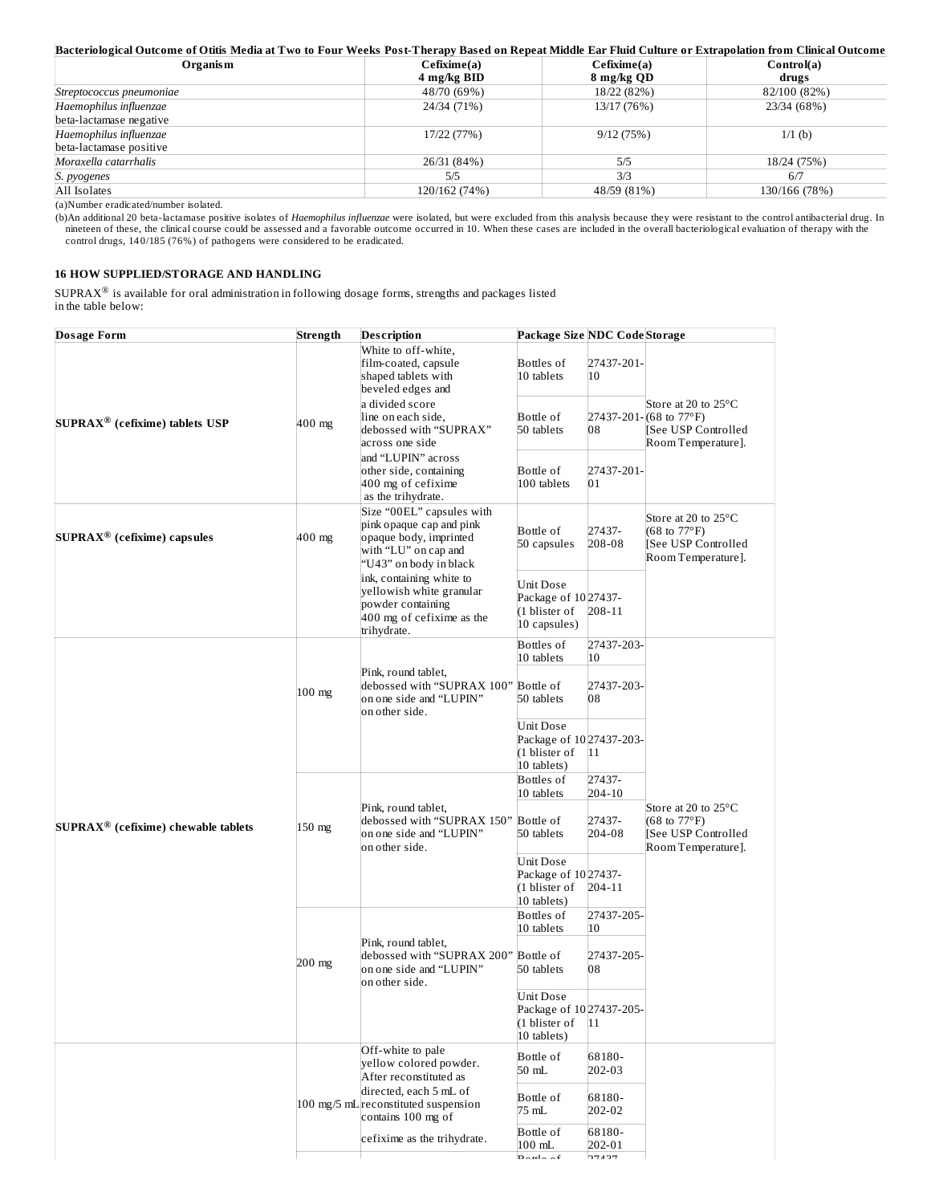| Bacteriological Outcome of Otitis Media at Two to Four Weeks Post-Therapy Based on Repeat Middle Ear Fluid Culture or Extrapolation from Clinical Outcome |               |             |               |  |  |  |  |
|-----------------------------------------------------------------------------------------------------------------------------------------------------------|---------------|-------------|---------------|--|--|--|--|
| <b>Organism</b>                                                                                                                                           | Cefixime(a)   | Cefixime(a) | Control(a)    |  |  |  |  |
|                                                                                                                                                           | 4 mg/kg BID   | 8 mg/kg QD  | drugs         |  |  |  |  |
| Streptococcus pneumoniae                                                                                                                                  | 48/70 (69%)   | 18/22 (82%) | 82/100 (82%)  |  |  |  |  |
| Haemophilus influenzae                                                                                                                                    | 24/34 (71%)   | 13/17 (76%) | 23/34 (68%)   |  |  |  |  |
| beta-lactamase negative                                                                                                                                   |               |             |               |  |  |  |  |
| Haemophilus influenzae                                                                                                                                    | 17/22 (77%)   | 9/12(75%)   | $1/1$ (b)     |  |  |  |  |
| beta-lactamase positive                                                                                                                                   |               |             |               |  |  |  |  |
| Moraxella catarrhalis                                                                                                                                     | 26/31 (84%)   | 5/5         | 18/24 (75%)   |  |  |  |  |
| S. pyogenes                                                                                                                                               | 5/5           | 3/3         | 6/7           |  |  |  |  |
| All Isolates                                                                                                                                              | 120/162 (74%) | 48/59 (81%) | 130/166 (78%) |  |  |  |  |

(a)Number eradicated/number isolated.

(b)An additional 20 beta-lactamase positive isolates of *Haemophilus influenzae* were isolated, but were excluded from this analysis because they were resistant to the control antibacterial drug. In nineteen of these, the control drugs, 14 0/185 (76%) of pathogens were considered to be eradicated.

## **16 HOW SUPPLIED/STORAGE AND HANDLING**

 $\text{SUPRAX}^{\circledR}$  is available for oral administration in following dosage forms, strengths and packages listed in the table below:

| <b>Dosage Form</b>                                      | Strength | <b>Description</b>                                                                                                                                         | Package Size NDC Code Storage                                         |                                                                                                                                                                                                                                                                                                                                                                                       |                                                                                                            |
|---------------------------------------------------------|----------|------------------------------------------------------------------------------------------------------------------------------------------------------------|-----------------------------------------------------------------------|---------------------------------------------------------------------------------------------------------------------------------------------------------------------------------------------------------------------------------------------------------------------------------------------------------------------------------------------------------------------------------------|------------------------------------------------------------------------------------------------------------|
| SUPRAX <sup>®</sup> (cefixime) tablets USP              | 400 mg   | White to off-white,<br>film-coated, capsule<br>shaped tablets with<br>beveled edges and<br>a divided score<br>line on each side,<br>debossed with "SUPRAX" | Bottles of<br>10 tablets<br>Bottle of<br>50 tablets                   | 27437-201-<br>10<br>08                                                                                                                                                                                                                                                                                                                                                                | Store at 20 to 25°C<br>27437-201-(68 to 77°F)<br>[See USP Controlled                                       |
|                                                         |          | across one side<br>and "LUPIN" across<br>other side, containing<br>400 mg of cefixime<br>as the trihydrate.                                                | Bottle of<br>100 tablets                                              | 27437-201-<br>01                                                                                                                                                                                                                                                                                                                                                                      | Room Temperature].                                                                                         |
| SUPRAX <sup>®</sup> (cefixime) capsules                 | 400 mg   | Size "00EL" capsules with<br>pink opaque cap and pink<br>opaque body, imprinted<br>with "LU" on cap and<br>"U43" on body in black                          | Bottle of<br>50 capsules                                              | 27437-<br>208-08                                                                                                                                                                                                                                                                                                                                                                      | Store at 20 to 25°C<br>$(68 \text{ to } 77^{\circ} \text{F})$<br>[See USP Controlled<br>Room Temperature]. |
|                                                         |          | ink, containing white to<br>yellowish white granular<br>powder containing<br>400 mg of cefixime as the<br>trihydrate.                                      | Unit Dose<br>Package of 10 27437-<br>(1 blister of<br>10 capsules)    | 208-11                                                                                                                                                                                                                                                                                                                                                                                |                                                                                                            |
|                                                         |          |                                                                                                                                                            | Bottles of<br>10 tablets                                              | 27437-203-<br>10                                                                                                                                                                                                                                                                                                                                                                      |                                                                                                            |
|                                                         | $100$ mg | Pink, round tablet,<br>debossed with "SUPRAX 100"<br>on one side and "LUPIN"<br>on other side.                                                             | Bottle of<br>50 tablets                                               | 27437-203-<br>08                                                                                                                                                                                                                                                                                                                                                                      |                                                                                                            |
|                                                         |          |                                                                                                                                                            | Unit Dose<br>Package of 10 27437-203-<br>(1 blister of<br>10 tablets) | 11                                                                                                                                                                                                                                                                                                                                                                                    |                                                                                                            |
|                                                         |          |                                                                                                                                                            | Bottles of<br>10 tablets                                              | 27437-<br>204-10                                                                                                                                                                                                                                                                                                                                                                      |                                                                                                            |
| $\text{SUPRAX}^{\circledR}$ (cefixime) chewable tablets | 150 mg   | Pink, round tablet,<br>debossed with "SUPRAX 150"<br>on one side and "LUPIN"<br>on other side.                                                             | Bottle of<br>50 tablets                                               | 27437-<br>204-08                                                                                                                                                                                                                                                                                                                                                                      | Store at 20 to 25°C<br>$(68 \text{ to } 77^{\circ} \text{F})$<br>[See USP Controlled<br>Room Temperature]. |
|                                                         |          |                                                                                                                                                            | Unit Dose<br>Package of 10 27437-<br>(1 blister of<br>10 tablets)     | 204-11                                                                                                                                                                                                                                                                                                                                                                                |                                                                                                            |
|                                                         |          |                                                                                                                                                            | Bottles of<br>10 tablets                                              | 27437-205-<br>10                                                                                                                                                                                                                                                                                                                                                                      |                                                                                                            |
|                                                         | $200$ mg | Pink, round tablet,<br>debossed with "SUPRAX 200"<br>on one side and "LUPIN"<br>on other side.                                                             | Bottle of<br>50 tablets                                               | 27437-205-<br>80                                                                                                                                                                                                                                                                                                                                                                      |                                                                                                            |
|                                                         |          |                                                                                                                                                            | Unit Dose<br>Package of 10 27437-205-<br>(1 blister of<br>10 tablets) | 11                                                                                                                                                                                                                                                                                                                                                                                    |                                                                                                            |
|                                                         |          | Off-white to pale<br>yellow colored powder.<br>After reconstituted as                                                                                      | Bottle of<br>50 mL                                                    | 68180-<br>202-03                                                                                                                                                                                                                                                                                                                                                                      |                                                                                                            |
|                                                         |          | directed, each 5 mL of<br>100 mg/5 mL reconstituted suspension<br>contains 100 mg of                                                                       | Bottle of<br>75 mL                                                    | 68180-<br>202-02                                                                                                                                                                                                                                                                                                                                                                      |                                                                                                            |
|                                                         |          | cefixime as the trihydrate.                                                                                                                                | Bottle of<br>100 mL                                                   | 68180-<br>202-01                                                                                                                                                                                                                                                                                                                                                                      |                                                                                                            |
|                                                         |          |                                                                                                                                                            | $D0 + D0$                                                             | $\begin{array}{c} \n\text{17.1} \\ \text{17.1} \\ \text{18.1} \\ \text{19.1} \\ \text{19.1} \\ \text{19.1} \\ \text{19.1} \\ \text{19.1} \\ \text{19.1} \\ \text{19.1} \\ \text{19.1} \\ \text{19.1} \\ \text{19.1} \\ \text{19.1} \\ \text{19.1} \\ \text{19.1} \\ \text{19.1} \\ \text{19.1} \\ \text{19.1} \\ \text{19.1} \\ \text{19.1} \\ \text{19.1} \\ \text{19.1} \\ \text{1$ |                                                                                                            |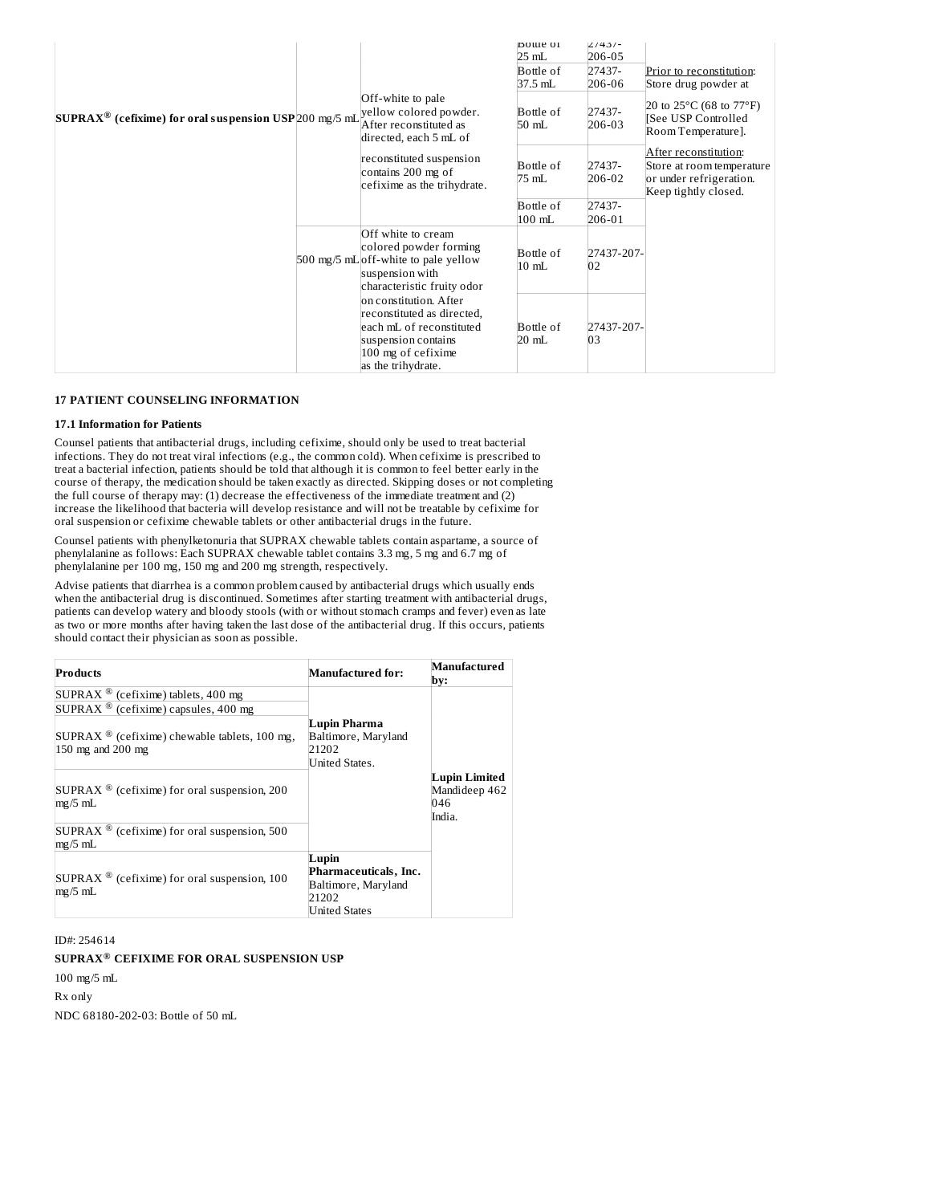| SUPRAX <sup>®</sup> (cefixime) for oral suspension USP 200 mg/5 mL veloved powder. | Off-white to pale<br>directed, each 5 mL of                                                                                                         | ipotue of<br>25 mL<br>Bottle of<br>37.5 mL<br>Bottle of<br>$50$ mI. | 2/43/7<br>206-05<br>27437-<br>206-06<br>27437-<br>206-03 | Prior to reconstitution:<br>Store drug powder at<br>20 to 25°C (68 to 77°F)<br>[See USP Controlled<br>Room Temperature]. |
|------------------------------------------------------------------------------------|-----------------------------------------------------------------------------------------------------------------------------------------------------|---------------------------------------------------------------------|----------------------------------------------------------|--------------------------------------------------------------------------------------------------------------------------|
|                                                                                    | reconstituted suspension<br>contains 200 mg of<br>cefixime as the trihydrate.                                                                       | Bottle of<br>75 mL                                                  | 27437-<br>206-02                                         | After reconstitution:<br>Store at room temperature<br>or under refrigeration.<br>Keep tightly closed.                    |
|                                                                                    |                                                                                                                                                     | Bottle of<br>$100$ mL                                               | 27437-<br>206-01                                         |                                                                                                                          |
|                                                                                    | Off white to cream<br>colored powder forming<br>500 mg/5 mL off-white to pale yellow<br>suspension with<br>characteristic fruity odor               | Bottle of<br>$10$ mL                                                | 27437-207-<br>02                                         |                                                                                                                          |
|                                                                                    | on constitution. After<br>reconstituted as directed,<br>each mL of reconstituted<br>suspension contains<br>100 mg of cefixime<br>as the trihydrate. | Bottle of<br>20 mL                                                  | 27437-207-<br>03                                         |                                                                                                                          |

# **17 PATIENT COUNSELING INFORMATION**

## **17.1 Information for Patients**

Counsel patients that antibacterial drugs, including cefixime, should only be used to treat bacterial infections. They do not treat viral infections (e.g., the common cold). When cefixime is prescribed to treat a bacterial infection, patients should be told that although it is common to feel better early in the course of therapy, the medication should be taken exactly as directed. Skipping doses or not completing the full course of therapy may: (1) decrease the effectiveness of the immediate treatment and (2) increase the likelihood that bacteria will develop resistance and will not be treatable by cefixime for oral suspension or cefixime chewable tablets or other antibacterial drugs in the future.

Counsel patients with phenylketonuria that SUPRAX chewable tablets contain aspartame, a source of phenylalanine as follows: Each SUPRAX chewable tablet contains 3.3 mg, 5 mg and 6.7 mg of phenylalanine per 100 mg, 150 mg and 200 mg strength, respectively.

Advise patients that diarrhea is a common problem caused by antibacterial drugs which usually ends when the antibacterial drug is discontinued. Sometimes after starting treatment with antibacterial drugs, patients can develop watery and bloody stools (with or without stomach cramps and fever) even as late as two or more months after having taken the last dose of the antibacterial drug. If this occurs, patients should contact their physician as soon as possible.

| <b>Products</b>                                                       | Manufactured for:                                              | Manufactured<br>by:                                    |
|-----------------------------------------------------------------------|----------------------------------------------------------------|--------------------------------------------------------|
| SUPRAX $\mathcal{R}$ (cefixime) tablets, 400 mg                       |                                                                |                                                        |
| SUPRAX $\mathcal{R}$ (cefixime) capsules, 400 mg                      |                                                                |                                                        |
|                                                                       | Lupin Pharma                                                   |                                                        |
| SUPRAX $\mathcal{B}$ (cefixime) chewable tablets, 100 mg,             | Baltimore, Maryland                                            |                                                        |
| 150 mg and 200 mg                                                     | 21202                                                          |                                                        |
|                                                                       | United States.                                                 |                                                        |
| SUPRAX $\mathcal{R}$ (cefixime) for oral suspension, 200<br>$mg/5$ mL |                                                                | <b>Lupin Limited</b><br>Mandideep 462<br>046<br>India. |
| SUPRAX $\mathbb{R}$ (cefixime) for oral suspension, 500<br>$mg/5$ mL  |                                                                |                                                        |
| SUPRAX $\mathbb{R}$ (cefixime) for oral suspension, 100<br>$mg/5$ mL  | Lupin<br>Pharmaceuticals, Inc.<br>Baltimore, Maryland<br>21202 |                                                        |
|                                                                       | <b>United States</b>                                           |                                                        |

ID#: 254614

### **SUPRAX CEFIXIME FOR ORAL SUSPENSION USP ®**

100 mg/5 mL

Rx only

NDC 68180-202-03: Bottle of 50 mL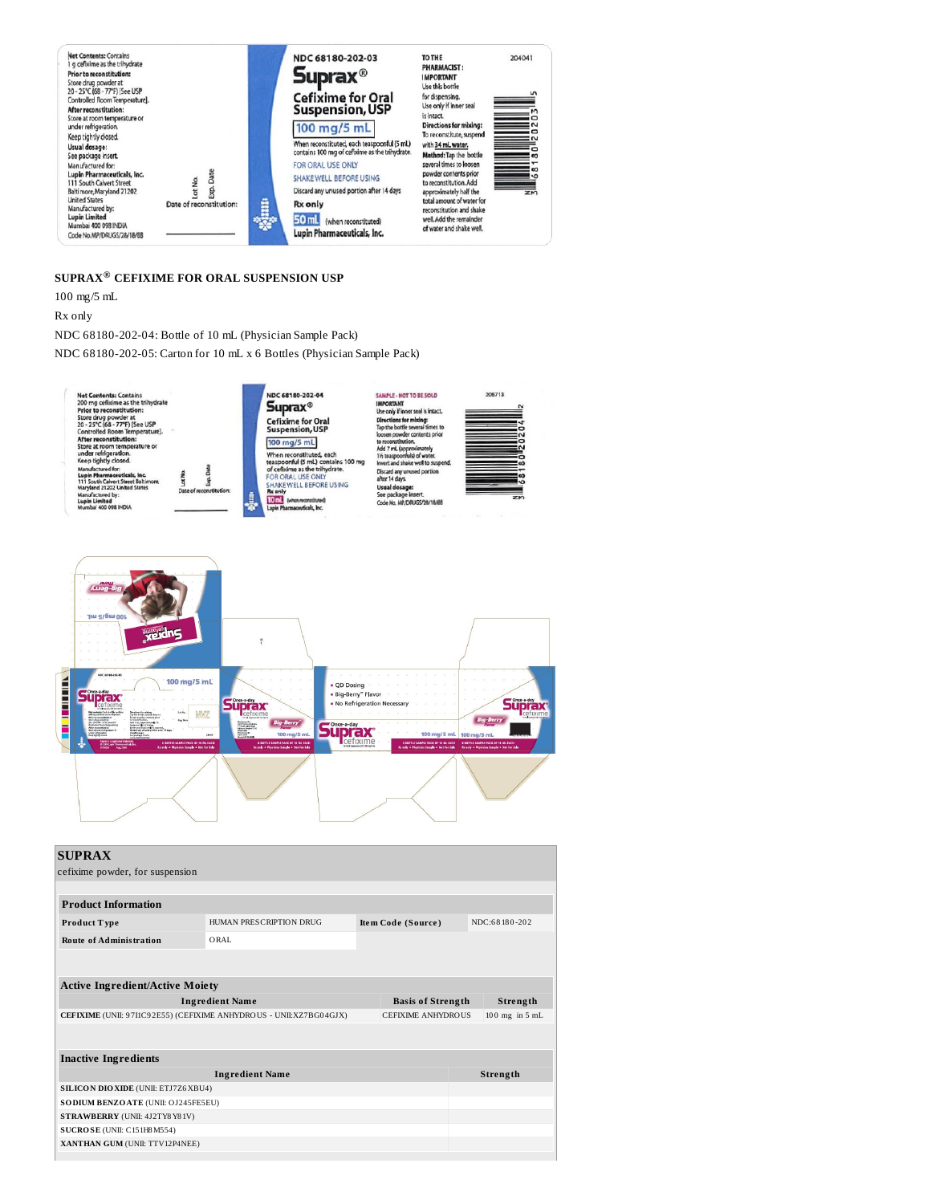

# **SUPRAX CEFIXIME FOR ORAL SUSPENSION USP ®**

#### 100 mg/5 mL

Rx only

NDC 68180-202-04: Bottle of 10 mL (Physician Sample Pack)

NDC 68180-202-05: Carton for 10 mL x 6 Bottles (Physician Sample Pack)





| <b>SUPRAX</b>                                                      |                         |                           |                          |  |                |
|--------------------------------------------------------------------|-------------------------|---------------------------|--------------------------|--|----------------|
| cefixime powder, for suspension                                    |                         |                           |                          |  |                |
|                                                                    |                         |                           |                          |  |                |
| <b>Product Information</b>                                         |                         |                           |                          |  |                |
| Product Type                                                       | HUMAN PRESCRIPTION DRUG |                           | Item Code (Source)       |  | NDC:68180-202  |
| <b>Route of Administration</b>                                     | ORAL.                   |                           |                          |  |                |
|                                                                    |                         |                           |                          |  |                |
|                                                                    |                         |                           |                          |  |                |
| <b>Active Ingredient/Active Moiety</b>                             |                         |                           |                          |  |                |
|                                                                    | <b>Ingredient Name</b>  |                           | <b>Basis of Strength</b> |  | Strength       |
| CEFIXIME (UNII: 97IIC92E55) (CEFIXIME ANHYDROUS - UNII:XZ7BG04GJX) |                         | <b>CEFIXIME ANHYDROUS</b> |                          |  | 100 mg in 5 mL |
|                                                                    |                         |                           |                          |  |                |
|                                                                    |                         |                           |                          |  |                |
| <b>Inactive Ingredients</b>                                        |                         |                           |                          |  |                |
|                                                                    | <b>Ingredient Name</b>  |                           |                          |  | Strength       |
| SILICON DIOXIDE (UNII: ETJ7Z6XBU4)                                 |                         |                           |                          |  |                |
| SODIUM BENZOATE (UNII: OJ245FE5EU)                                 |                         |                           |                          |  |                |
| STRAWBERRY (UNII: 4J2TY8 Y81V)                                     |                         |                           |                          |  |                |
| SUCRO SE (UNII: C151H8 M554)                                       |                         |                           |                          |  |                |
| XANTHAN GUM (UNII: TTV12P4NEE)                                     |                         |                           |                          |  |                |
|                                                                    |                         |                           |                          |  |                |